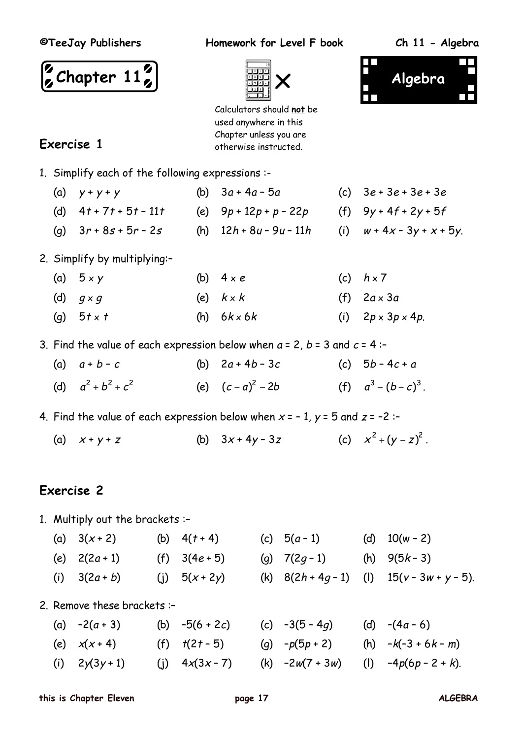**Exercise 1**

**©TeeJay Publishers Homework for Level F book Ch 11 - Algebra**

**Algebra**





Calculators should **not** be used anywhere in this Chapter unless you are otherwise instructed.

|  |  |  |  |  | 1. Simplify each of the following expressions :- |  |
|--|--|--|--|--|--------------------------------------------------|--|
|--|--|--|--|--|--------------------------------------------------|--|

- (a)  $y + y + y$  (b)  $3a + 4a 5a$  (c)  $3e + 3e + 3e + 3e$
- (d)  $4t + 7t + 5t 11t$  (e)  $9p + 12p + p 22p$  (f)  $9y + 4f + 2y + 5f$
- (g)  $3r + 8s + 5r 2s$  (h)  $12h + 8u 9u 11h$  (i)  $w + 4x 3y + x + 5y$ .
- 2. Simplify by multiplying:–
	- (a)  $5 \times y$  (b)  $4 \times e$  (c)  $h \times 7$ (d)  $q \times q$  (e)  $k \times k$  (f)  $2a \times 3a$ (g)  $5t \times t$  (h)  $6k \times 6k$  (i)  $2p \times 3p \times 4p$ .
- 3. Find the value of each expression below when  $a = 2$ ,  $b = 3$  and  $c = 4$ :-
	- (a)  $a + b c$  (b)  $2a + 4b 3c$  (c)  $5b 4c + a$ (d)  $a^2 + b^2 + c$ (e)  $(c-a)^2 - 2b$  $a^2 - 2b$  (f)  $a^3 - (b - c)^3$ .

4. Find the value of each expression below when  $x = -1$ ,  $y = 5$  and  $z = -2$ :

(a)  $x + y + z$  (b)  $3x + 4y - 3z$  $+(y-z)^2$ .

# **Exercise 2**

1. Multiply out the brackets :–

- (a)  $3(x+2)$  (b)  $4(t+4)$  (c)  $5(a-1)$  (d)  $10(w-2)$
- (e)  $2(2a+1)$  (f)  $3(4e+5)$  (g)  $7(2g-1)$  (h)  $9(5k-3)$ (i)  $3(2a + b)$  (i)  $5(x + 2y)$  (k)  $8(2h + 4g - 1)$  (l)  $15(y - 3w + y - 5)$ .

2. Remove these brackets :–

(a)  $-2(a+3)$  (b)  $-5(6+2c)$  (c)  $-3(5-4a)$  (d)  $-(4a-6)$ (e)  $x(x+4)$  (f)  $t(2t-5)$  (g)  $-p(5p+2)$  (h)  $-k(-3+6k-m)$ (i)  $2y(3y+1)$  (i)  $4x(3x-7)$  (k)  $-2w(7+3w)$  (l)  $-4p(6p-2+k)$ .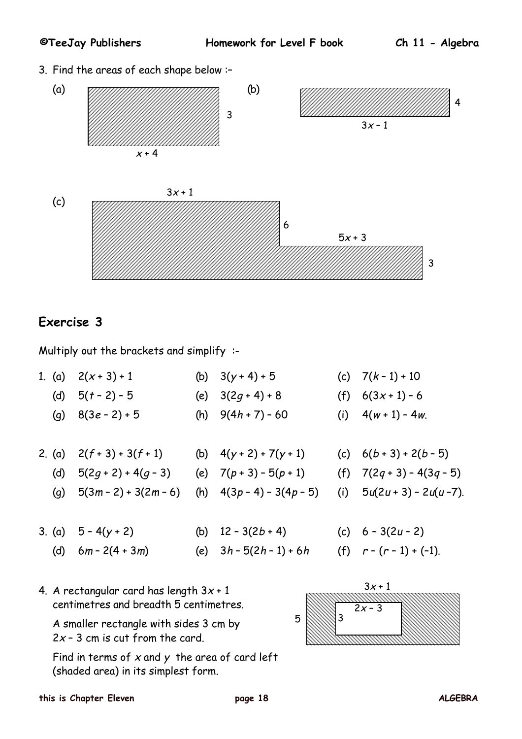3. Find the areas of each shape below :–



## **Exercise 3**

Multiply out the brackets and simplify :-

- 1. (a)  $2(x+3)+1$  (b)  $3(y+4)+5$  (c)  $7(k-1)+10$ (d)  $5(t - 2) - 5$  (e)  $3(2q + 4) + 8$  (f)  $6(3x + 1) - 6$ (g)  $8(3e-2)+5$  (h)  $9(4h+7)-60$  (i)  $4(w+1)-4w$ . 2. (a)  $2(f+3) + 3(f+1)$  (b)  $4(y+2) + 7(y+1)$  (c)  $6(b+3) + 2(b-5)$ 
	- (d)  $5(2q+2)+4(q-3)$  (e)  $7(p+3)-5(p+1)$  (f)  $7(2q+3)-4(3q-5)$
	- (g)  $5(3m-2) + 3(2m-6)$  (h)  $4(3p-4) 3(4p-5)$  (i)  $5u(2u+3) 2u(u-7)$ .
- 3. (a)  $5 4(y + 2)$  (b)  $12 3(2b + 4)$  (c)  $6 3(2u 2)$ (d)  $6m - 2(4 + 3m)$  (e)  $3h - 5(2h - 1) + 6h$  (f)  $r - (r - 1) + (-1)$ .
	-
- 4. A rectangular card has length  $3x + 1$ centimetres and breadth 5 centimetres.

A smaller rectangle with sides 3 cm by  $2x - 3$  cm is cut from the card.

Find in terms of  $x$  and  $y$  the area of card left (shaded area) in its simplest form.

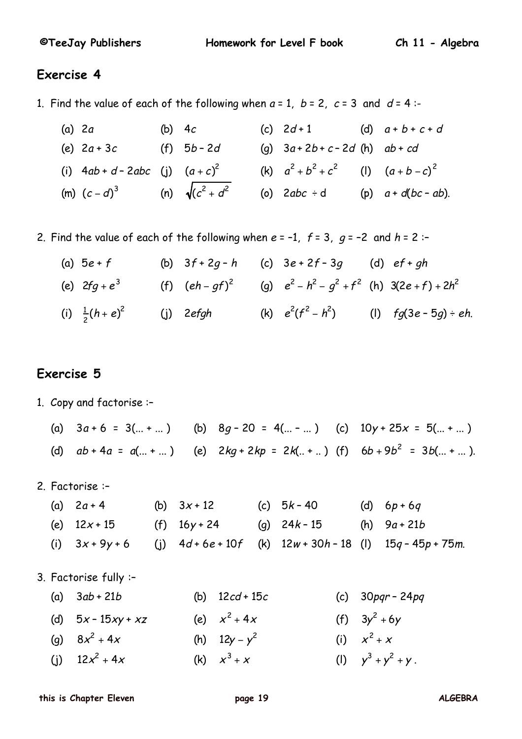#### **Exercise 4**

- 1. Find the value of each of the following when  $a = 1$ ,  $b = 2$ ,  $c = 3$  and  $d = 4$ :-
	- (a) 2a (b) 4c (c)  $2d+1$  (d)  $a+b+c+d$ (e)  $2a + 3c$  (f)  $5b - 2d$  (g)  $3a + 2b + c - 2d$  (h)  $ab + cd$ (i)  $4ab + d - 2abc$  (j)  $(a + c)^2$  (k)  $a^2 + b^2 + c^2$  (l)  $(a + b - c)^2$ (m)  $(c-d)^3$  (n)  $\sqrt{(c^2 + d^2)}$  (o) 2abc ÷ d (p) a + d(bc − ab).
- 2. Find the value of each of the following when  $e = -1$ ,  $f = 3$ ,  $q = -2$  and  $h = 2$ :
	- (a)  $5e + f$  (b)  $3f + 2g h$  (c)  $3e + 2f 3g$  (d)  $ef + gh$ (e)  $2fg + e^3$  (f)  $(eh - gf)^2$  (g)  $e^2 - h^2 - g^2 + f^2$  (h)  $3(2e + f) + 2h^2$ (i)  $\frac{1}{2}(h+e)^2$  (j) 2efgh (k)  $e^2(f^2-h^2)$  (l) fg(3e-5g)÷eh.

## **Exercise 5**

- 1. Copy and factorise :–
	- (a)  $3a + 6 = 3(... + ...)$  (b)  $8q 20 = 4(... ...)$  (c)  $10y + 25x = 5(... + ...)$ (d)  $ab + 4a = a(... + ... )$  (e)  $2kq + 2kp = 2k(... + ...)$  (f)  $6b + 9b<sup>2</sup> = 3b(... + ... ).$
- 2. Factorise :–
	- (a)  $2a + 4$  (b)  $3x + 12$  (c)  $5k 40$  (d)  $6p + 6q$ (e)  $12x + 15$  (f)  $16y + 24$  (g)  $24k - 15$  (h)  $9a + 21b$ (i)  $3x + 9y + 6$  (i)  $4d + 6e + 10f$  (k)  $12w + 30h - 18$  (l)  $15q - 45p + 75m$ .

3. Factorise fully :–

| (a) $3ab + 21b$      | (b) $12cd + 15c$ | (c) $30$ <i>pqr</i> - $24$ <i>pq</i> |
|----------------------|------------------|--------------------------------------|
| (d) $5x - 15xy + xz$ | (e) $x^2 + 4x$   | (f) $3y^2 + 6y$                      |
| (g) $8x^2 + 4x$      | (h) $12y - y^2$  | (i) $x^2 + x$                        |
| (j) $12x^2 + 4x$     | (k) $x^3 + x$    | (1) $y^3 + y^2 + y$ .                |